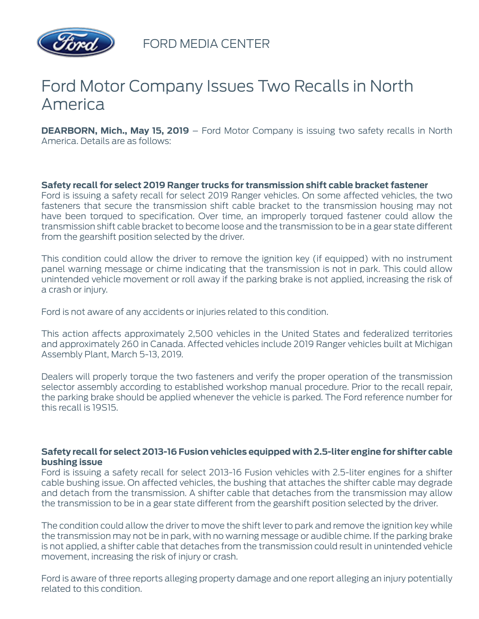

FORD MEDIA CENTER

## Ford Motor Company Issues Two Recalls in North America

**DEARBORN, Mich., May 15, 2019** – Ford Motor Company is issuing two safety recalls in North America. Details are as follows:

## **Safety recall for select 2019 Ranger trucks for transmission shift cable bracket fastener**

Ford is issuing a safety recall for select 2019 Ranger vehicles. On some affected vehicles, the two fasteners that secure the transmission shift cable bracket to the transmission housing may not have been torqued to specification. Over time, an improperly torqued fastener could allow the transmission shift cable bracket to become loose and the transmission to be in a gear state different from the gearshift position selected by the driver.

This condition could allow the driver to remove the ignition key (if equipped) with no instrument panel warning message or chime indicating that the transmission is not in park. This could allow unintended vehicle movement or roll away if the parking brake is not applied, increasing the risk of a crash or injury.

Ford is not aware of any accidents or injuries related to this condition.

This action affects approximately 2,500 vehicles in the United States and federalized territories and approximately 260 in Canada. Affected vehicles include 2019 Ranger vehicles built at Michigan Assembly Plant, March 5-13, 2019.

Dealers will properly torque the two fasteners and verify the proper operation of the transmission selector assembly according to established workshop manual procedure. Prior to the recall repair, the parking brake should be applied whenever the vehicle is parked. The Ford reference number for this recall is 19S15.

## **Safety recall for select 2013-16 Fusion vehicles equipped with 2.5-liter engine for shifter cable bushing issue**

Ford is issuing a safety recall for select 2013-16 Fusion vehicles with 2.5-liter engines for a shifter cable bushing issue. On affected vehicles, the bushing that attaches the shifter cable may degrade and detach from the transmission. A shifter cable that detaches from the transmission may allow the transmission to be in a gear state different from the gearshift position selected by the driver.

The condition could allow the driver to move the shift lever to park and remove the ignition key while the transmission may not be in park, with no warning message or audible chime. If the parking brake is not applied, a shifter cable that detaches from the transmission could result in unintended vehicle movement, increasing the risk of injury or crash.

Ford is aware of three reports alleging property damage and one report alleging an injury potentially related to this condition.